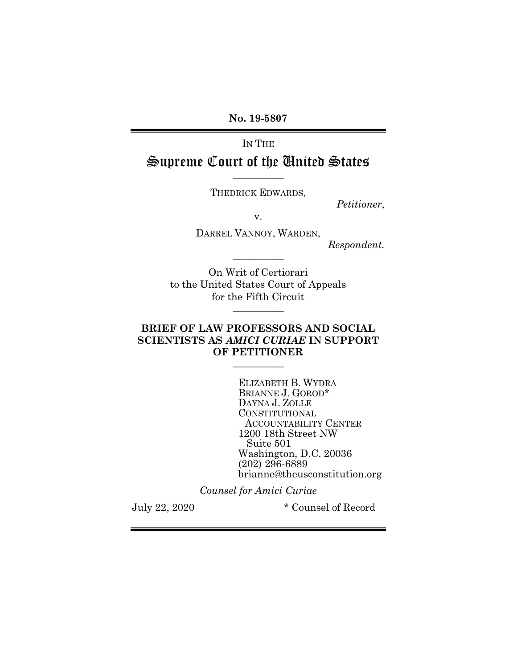No. 19-5807

IN THE Supreme Court of the United States

THEDRICK EDWARDS,

 $\overline{\phantom{a}}$   $\overline{\phantom{a}}$   $\overline{\phantom{a}}$   $\overline{\phantom{a}}$   $\overline{\phantom{a}}$   $\overline{\phantom{a}}$   $\overline{\phantom{a}}$   $\overline{\phantom{a}}$   $\overline{\phantom{a}}$   $\overline{\phantom{a}}$   $\overline{\phantom{a}}$   $\overline{\phantom{a}}$   $\overline{\phantom{a}}$   $\overline{\phantom{a}}$   $\overline{\phantom{a}}$   $\overline{\phantom{a}}$   $\overline{\phantom{a}}$   $\overline{\phantom{a}}$   $\overline{\$ 

Petitioner,

v.

DARREL VANNOY, WARDEN,

 $\overline{\phantom{a}}$   $\overline{\phantom{a}}$   $\overline{\phantom{a}}$   $\overline{\phantom{a}}$   $\overline{\phantom{a}}$   $\overline{\phantom{a}}$   $\overline{\phantom{a}}$   $\overline{\phantom{a}}$   $\overline{\phantom{a}}$   $\overline{\phantom{a}}$   $\overline{\phantom{a}}$   $\overline{\phantom{a}}$   $\overline{\phantom{a}}$   $\overline{\phantom{a}}$   $\overline{\phantom{a}}$   $\overline{\phantom{a}}$   $\overline{\phantom{a}}$   $\overline{\phantom{a}}$   $\overline{\$ 

Respondent.

On Writ of Certiorari to the United States Court of Appeals for the Fifth Circuit  $\overline{\phantom{a}}$   $\overline{\phantom{a}}$   $\overline{\phantom{a}}$   $\overline{\phantom{a}}$   $\overline{\phantom{a}}$   $\overline{\phantom{a}}$   $\overline{\phantom{a}}$   $\overline{\phantom{a}}$   $\overline{\phantom{a}}$   $\overline{\phantom{a}}$   $\overline{\phantom{a}}$   $\overline{\phantom{a}}$   $\overline{\phantom{a}}$   $\overline{\phantom{a}}$   $\overline{\phantom{a}}$   $\overline{\phantom{a}}$   $\overline{\phantom{a}}$   $\overline{\phantom{a}}$   $\overline{\$ 

### BRIEF OF LAW PROFESSORS AND SOCIAL SCIENTISTS AS AMICI CURIAE IN SUPPORT OF PETITIONER

 $\overline{\phantom{a}}$   $\overline{\phantom{a}}$   $\overline{\phantom{a}}$   $\overline{\phantom{a}}$   $\overline{\phantom{a}}$   $\overline{\phantom{a}}$   $\overline{\phantom{a}}$   $\overline{\phantom{a}}$   $\overline{\phantom{a}}$   $\overline{\phantom{a}}$   $\overline{\phantom{a}}$   $\overline{\phantom{a}}$   $\overline{\phantom{a}}$   $\overline{\phantom{a}}$   $\overline{\phantom{a}}$   $\overline{\phantom{a}}$   $\overline{\phantom{a}}$   $\overline{\phantom{a}}$   $\overline{\$ 

ELIZABETH B. WYDRA BRIANNE J. GOROD\* DAYNA J. ZOLLE CONSTITUTIONAL ACCOUNTABILITY CENTER 1200 18th Street NW Suite 501 Washington, D.C. 20036 (202) 296-6889 brianne@theusconstitution.org

Counsel for Amici Curiae

July 22, 2020 \* Counsel of Record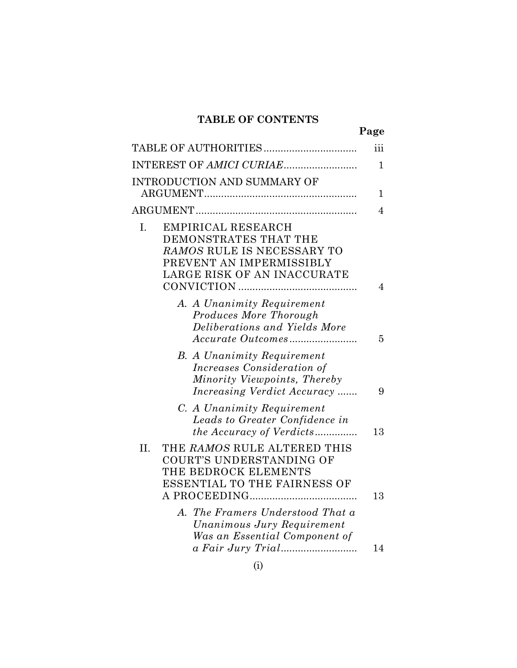# TABLE OF CONTENTS

|                                                                                                                                               | Page           |
|-----------------------------------------------------------------------------------------------------------------------------------------------|----------------|
|                                                                                                                                               | iii            |
|                                                                                                                                               | $\mathbf 1$    |
| INTRODUCTION AND SUMMARY OF                                                                                                                   | 1              |
|                                                                                                                                               | $\overline{4}$ |
| EMPIRICAL RESEARCH<br>I.<br>DEMONSTRATES THAT THE<br>RAMOS RULE IS NECESSARY TO<br>PREVENT AN IMPERMISSIBLY<br>LARGE RISK OF AN INACCURATE    | 4              |
| A. A Unanimity Requirement<br>Produces More Thorough<br>Deliberations and Yields More                                                         | 5              |
| <b>B.</b> A Unanimity Requirement<br><i>Increases Consideration of</i><br>Minority Viewpoints, Thereby<br><i>Increasing Verdict Accuracy </i> | 9              |
| C. A Unanimity Requirement<br>Leads to Greater Confidence in<br><i>the Accuracy of Verdicts</i>                                               | 13             |
| II.<br>THE RAMOS RULE ALTERED THIS<br>COURT'S UNDERSTANDING OF<br>THE BEDROCK ELEMENTS<br><b>ESSENTIAL TO THE FAIRNESS OF</b>                 | 13             |
| A. The Framers Understood That a<br>Unanimous Jury Requirement<br>Was an Essential Component of                                               | 14             |
|                                                                                                                                               |                |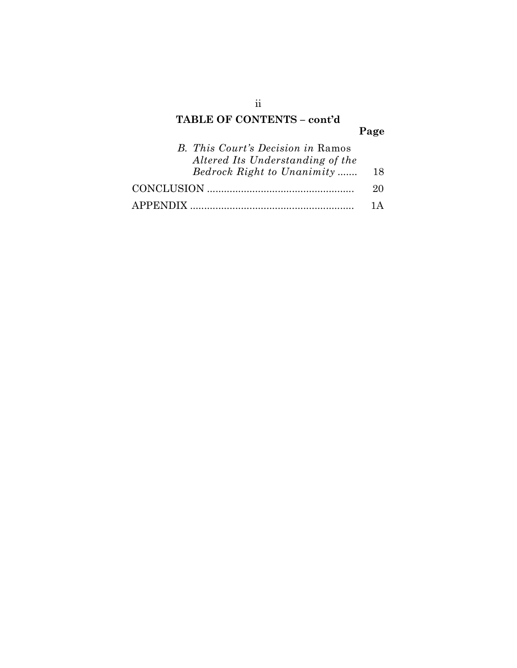# TABLE OF CONTENTS – cont'd

# Page

| <b>B.</b> This Court's Decision in Ramos |                 |
|------------------------------------------|-----------------|
| Altered Its Understanding of the         |                 |
| Bedrock Right to Unanimity               | 18              |
|                                          | 20              |
|                                          | $1\,\mathrm{A}$ |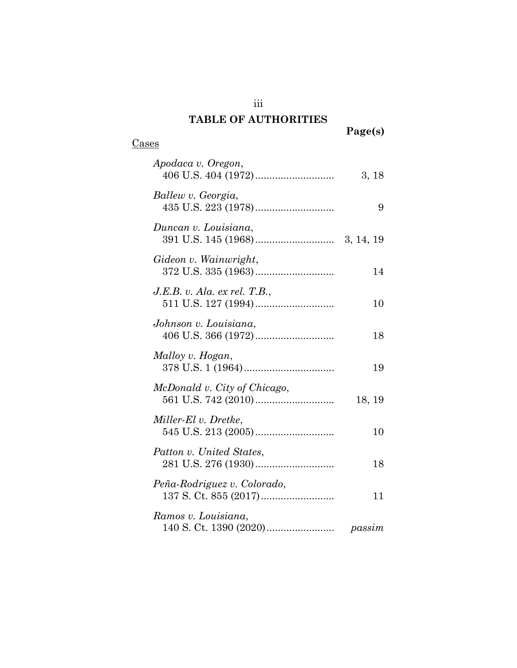# TABLE OF AUTHORITIES

iii

Page(s)

## Cases

| Apodaca v. Oregon,                                   | 3, 18  |
|------------------------------------------------------|--------|
| Ballew v. Georgia,                                   | 9      |
| Duncan v. Louisiana,                                 |        |
| Gideon v. Wainwright,                                | 14     |
| J.E.B. v. Ala. ex rel. T.B.,                         | 10     |
| Johnson v. Louisiana,                                | 18     |
| Malloy v. Hogan,                                     | 19     |
| McDonald v. City of Chicago,                         | 18, 19 |
| Miller-El v. Dretke,                                 | 10     |
| Patton v. United States,                             | 18     |
| Peña-Rodriguez v. Colorado,<br>137 S. Ct. 855 (2017) | 11     |
| Ramos v. Louisiana,                                  | passim |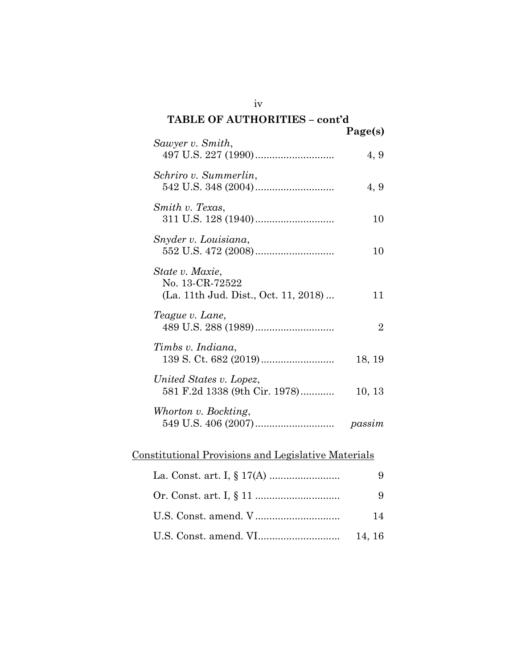# TABLE OF AUTHORITIES – cont'd Page(s) Sawyer v. Smith, 497 U.S. 227 (1990) ............................ 4, 9 Schriro v. Summerlin, 542 U.S. 348 (2004) ............................ 4, 9 Smith v. Texas, 311 U.S. 128 (1940) ............................ 10 Snyder v. Louisiana, 552 U.S. 472 (2008) ............................ 10 State v. Maxie, No. 13-CR-72522 (La. 11th Jud. Dist., Oct. 11, 2018) ... 11 Teague v. Lane, 489 U.S. 288 (1989) ............................ 2 Timbs v. Indiana,

139 S. Ct. 682 (2019) .......................... 18, 19 United States v. Lopez, 581 F.2d 1338 (9th Cir. 1978) ............ 10, 13 Whorton v. Bockting, 549 U.S. 406 (2007) ............................ passim

### Constitutional Provisions and Legislative Materials

| 14     |
|--------|
| 14, 16 |

iv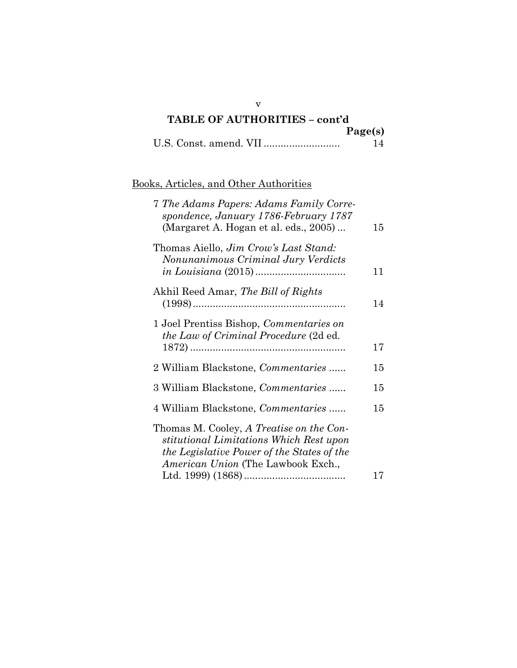| TABLE OF AUTHORITIES - cont'd |         |
|-------------------------------|---------|
|                               | Page(s) |
|                               |         |

# Books, Articles, and Other Authorities

| 7 The Adams Papers: Adams Family Corre-<br>spondence, January 1786-February 1787<br>(Margaret A. Hogan et al. eds., 2005)                                               | 15 |
|-------------------------------------------------------------------------------------------------------------------------------------------------------------------------|----|
| Thomas Aiello, <i>Jim Crow's Last Stand:</i><br>Nonunanimous Criminal Jury Verdicts<br>$in \, Louisiana \, (2015) \dots$                                                | 11 |
| Akhil Reed Amar, The Bill of Rights                                                                                                                                     | 14 |
| 1 Joel Prentiss Bishop, Commentaries on<br><i>the Law of Criminal Procedure</i> (2d ed.                                                                                 | 17 |
| 2 William Blackstone, <i>Commentaries</i>                                                                                                                               | 15 |
| 3 William Blackstone, <i>Commentaries</i>                                                                                                                               | 15 |
| 4 William Blackstone, <i>Commentaries</i>                                                                                                                               | 15 |
| Thomas M. Cooley, A Treatise on the Con-<br>stitutional Limitations Which Rest upon<br>the Legislative Power of the States of the<br>American Union (The Lawbook Exch., | 17 |

v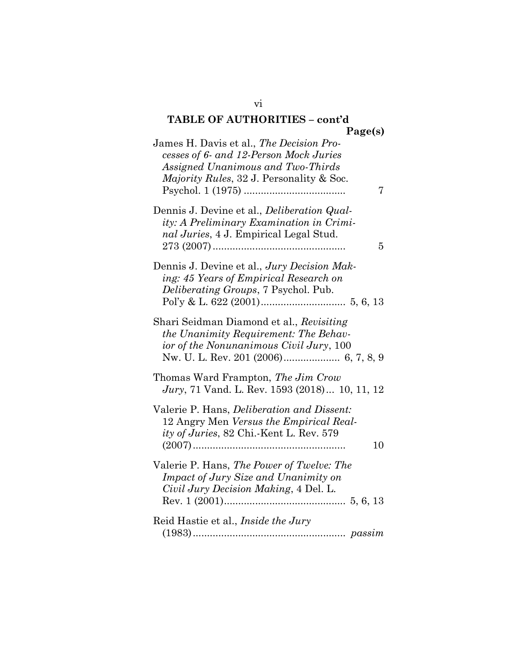### TABLE OF AUTHORITIES – cont'd Page(s)

| James H. Davis et al., The Decision Pro-<br>cesses of 6- and 12-Person Mock Juries<br>Assigned Unanimous and Two-Thirds<br>Majority Rules, 32 J. Personality & Soc.<br>7 |
|--------------------------------------------------------------------------------------------------------------------------------------------------------------------------|
| Dennis J. Devine et al., Deliberation Qual-<br>ity: A Preliminary Examination in Crimi-<br>nal Juries, 4 J. Empirical Legal Stud.<br>5                                   |
| Dennis J. Devine et al., Jury Decision Mak-<br>ing: 45 Years of Empirical Research on<br><i>Deliberating Groups</i> , 7 Psychol. Pub.                                    |
| Shari Seidman Diamond et al., Revisiting<br>the Unanimity Requirement: The Behav-<br>ior of the Nonunanimous Civil Jury, 100                                             |
| Thomas Ward Frampton, The Jim Crow<br>Jury, 71 Vand. L. Rev. 1593 (2018) 10, 11, 12                                                                                      |
| Valerie P. Hans, <i>Deliberation and Dissent:</i><br>12 Angry Men Versus the Empirical Real-<br><i>ity of Juries, 82 Chi.-Kent L. Rev.</i> 579<br>10                     |
| Valerie P. Hans, The Power of Twelve: The<br>Impact of Jury Size and Unanimity on<br>Civil Jury Decision Making, 4 Del. L.                                               |
| Reid Hastie et al., <i>Inside the Jury</i>                                                                                                                               |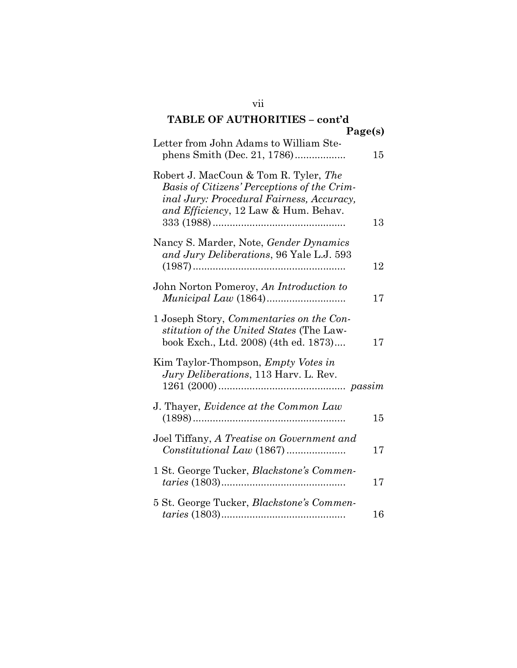### TABLE OF AUTHORITIES – cont'd Page(s) Letter from John Adams to William  $\alpha$

| Letter from John Adams to William Ste-                                                                                                                                    | 15 |
|---------------------------------------------------------------------------------------------------------------------------------------------------------------------------|----|
| Robert J. MacCoun & Tom R. Tyler, The<br>Basis of Citizens' Perceptions of the Crim-<br>inal Jury: Procedural Fairness, Accuracy,<br>and Efficiency, 12 Law & Hum. Behav. | 13 |
| Nancy S. Marder, Note, Gender Dynamics<br>and Jury Deliberations, 96 Yale L.J. 593                                                                                        | 12 |
| John Norton Pomeroy, An Introduction to                                                                                                                                   | 17 |
| 1 Joseph Story, Commentaries on the Con-<br>stitution of the United States (The Law-<br>book Exch., Ltd. 2008) (4th ed. 1873)                                             | 17 |
| Kim Taylor-Thompson, <i>Empty Votes in</i><br>Jury Deliberations, 113 Harv. L. Rev.                                                                                       |    |
| J. Thayer, <i>Evidence at the Common Law</i>                                                                                                                              | 15 |
| Joel Tiffany, A Treatise on Government and                                                                                                                                | 17 |
| 1 St. George Tucker, Blackstone's Commen-                                                                                                                                 | 17 |
| 5 St. George Tucker, Blackstone's Commen-                                                                                                                                 |    |

taries (1803) ............................................ 16

vii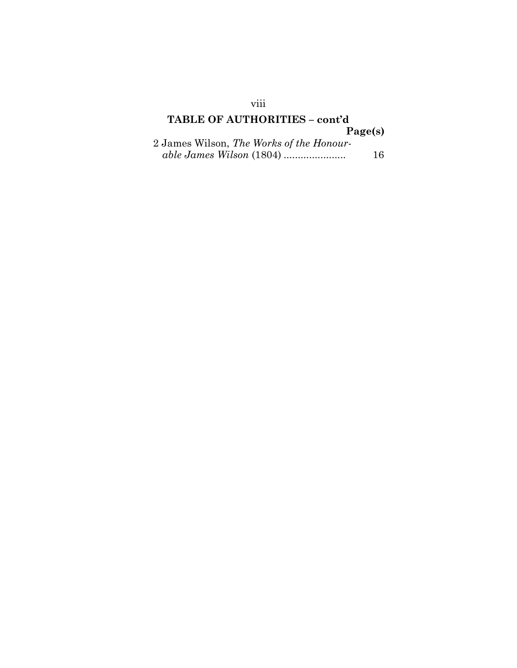## TABLE OF AUTHORITIES – cont'd Page(s) 2 James Wilson, The Works of the Honour-

able James Wilson (1804) ...................... 16

### viii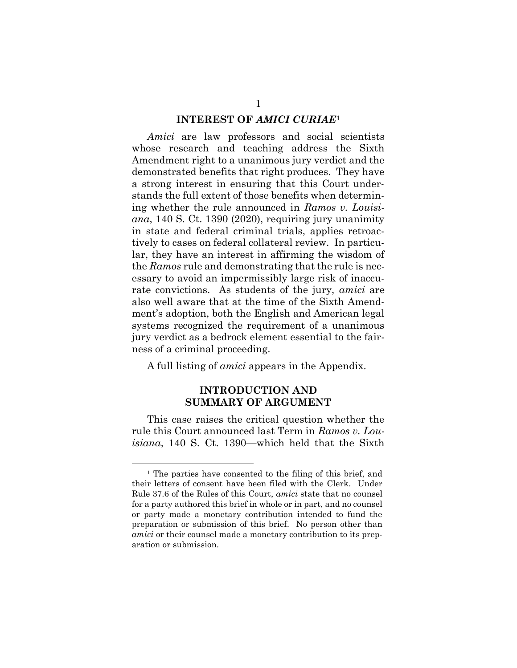#### INTEREST OF AMICI CURIAE<sup>1</sup>

Amici are law professors and social scientists whose research and teaching address the Sixth Amendment right to a unanimous jury verdict and the demonstrated benefits that right produces. They have a strong interest in ensuring that this Court understands the full extent of those benefits when determining whether the rule announced in Ramos v. Louisiana, 140 S. Ct. 1390 (2020), requiring jury unanimity in state and federal criminal trials, applies retroactively to cases on federal collateral review. In particular, they have an interest in affirming the wisdom of the Ramos rule and demonstrating that the rule is necessary to avoid an impermissibly large risk of inaccurate convictions. As students of the jury, *amici* are also well aware that at the time of the Sixth Amendment's adoption, both the English and American legal systems recognized the requirement of a unanimous jury verdict as a bedrock element essential to the fairness of a criminal proceeding.

A full listing of amici appears in the Appendix.

### INTRODUCTION AND SUMMARY OF ARGUMENT

This case raises the critical question whether the rule this Court announced last Term in Ramos v. Louisiana, 140 S. Ct. 1390—which held that the Sixth

<sup>&</sup>lt;sup>1</sup> The parties have consented to the filing of this brief, and their letters of consent have been filed with the Clerk. Under Rule 37.6 of the Rules of this Court, amici state that no counsel for a party authored this brief in whole or in part, and no counsel or party made a monetary contribution intended to fund the preparation or submission of this brief. No person other than amici or their counsel made a monetary contribution to its preparation or submission.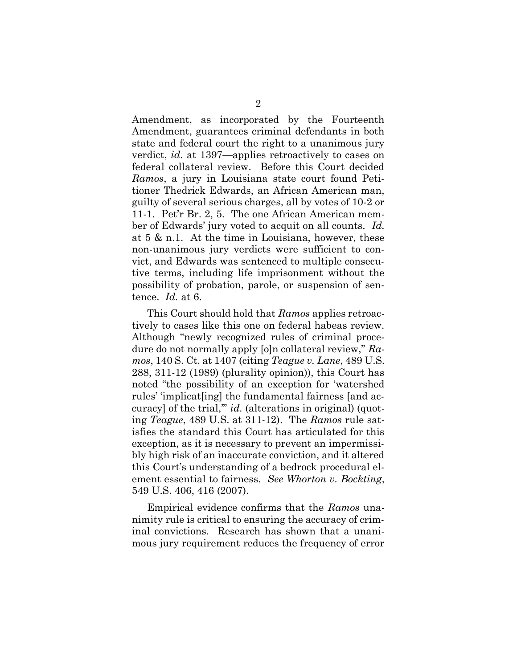Amendment, as incorporated by the Fourteenth Amendment, guarantees criminal defendants in both state and federal court the right to a unanimous jury verdict, id. at 1397—applies retroactively to cases on federal collateral review. Before this Court decided Ramos, a jury in Louisiana state court found Petitioner Thedrick Edwards, an African American man, guilty of several serious charges, all by votes of 10-2 or 11-1. Pet'r Br. 2, 5. The one African American member of Edwards' jury voted to acquit on all counts. Id. at 5 & n.1. At the time in Louisiana, however, these non-unanimous jury verdicts were sufficient to convict, and Edwards was sentenced to multiple consecutive terms, including life imprisonment without the possibility of probation, parole, or suspension of sentence. Id. at 6.

This Court should hold that Ramos applies retroactively to cases like this one on federal habeas review. Although "newly recognized rules of criminal procedure do not normally apply [o]n collateral review," Ramos, 140 S. Ct. at 1407 (citing Teague v. Lane, 489 U.S. 288, 311-12 (1989) (plurality opinion)), this Court has noted "the possibility of an exception for 'watershed rules' 'implicat[ing] the fundamental fairness [and accuracy] of the trial," *id.* (alterations in original) (quoting Teague, 489 U.S. at 311-12). The Ramos rule satisfies the standard this Court has articulated for this exception, as it is necessary to prevent an impermissibly high risk of an inaccurate conviction, and it altered this Court's understanding of a bedrock procedural element essential to fairness. See Whorton v. Bockting, 549 U.S. 406, 416 (2007).

Empirical evidence confirms that the Ramos unanimity rule is critical to ensuring the accuracy of criminal convictions. Research has shown that a unanimous jury requirement reduces the frequency of error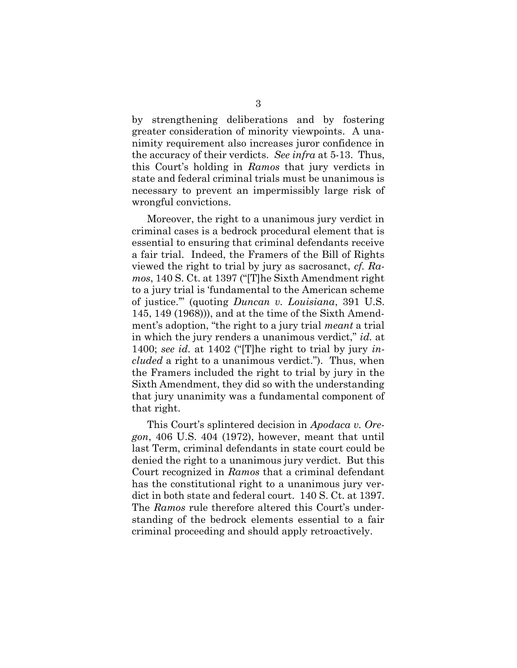by strengthening deliberations and by fostering greater consideration of minority viewpoints. A unanimity requirement also increases juror confidence in the accuracy of their verdicts. See infra at 5-13. Thus, this Court's holding in Ramos that jury verdicts in state and federal criminal trials must be unanimous is necessary to prevent an impermissibly large risk of wrongful convictions.

Moreover, the right to a unanimous jury verdict in criminal cases is a bedrock procedural element that is essential to ensuring that criminal defendants receive a fair trial. Indeed, the Framers of the Bill of Rights viewed the right to trial by jury as sacrosanct, cf. Ramos, 140 S. Ct. at 1397 ("[T]he Sixth Amendment right to a jury trial is 'fundamental to the American scheme of justice.'" (quoting Duncan v. Louisiana, 391 U.S. 145, 149 (1968))), and at the time of the Sixth Amendment's adoption, "the right to a jury trial *meant* a trial in which the jury renders a unanimous verdict," *id.* at 1400; see id. at 1402 ("The right to trial by jury included a right to a unanimous verdict."). Thus, when the Framers included the right to trial by jury in the Sixth Amendment, they did so with the understanding that jury unanimity was a fundamental component of that right.

This Court's splintered decision in Apodaca v. Oregon, 406 U.S. 404 (1972), however, meant that until last Term, criminal defendants in state court could be denied the right to a unanimous jury verdict. But this Court recognized in Ramos that a criminal defendant has the constitutional right to a unanimous jury verdict in both state and federal court. 140 S. Ct. at 1397. The Ramos rule therefore altered this Court's understanding of the bedrock elements essential to a fair criminal proceeding and should apply retroactively.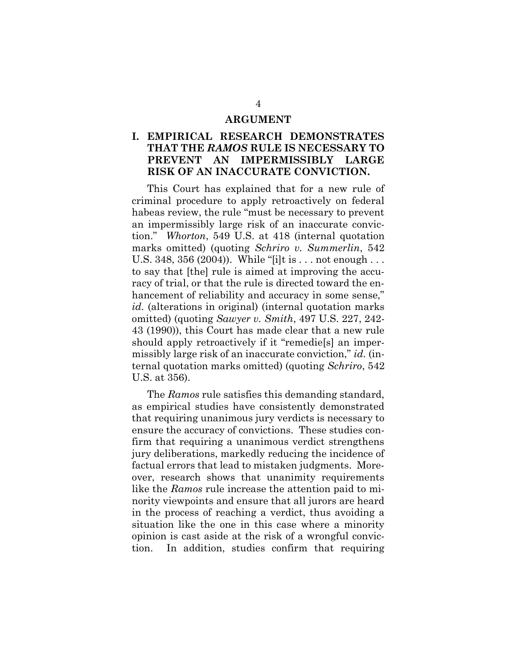#### ARGUMENT

### I. EMPIRICAL RESEARCH DEMONSTRATES THAT THE RAMOS RULE IS NECESSARY TO PREVENT AN IMPERMISSIBLY LARGE RISK OF AN INACCURATE CONVICTION.

This Court has explained that for a new rule of criminal procedure to apply retroactively on federal habeas review, the rule "must be necessary to prevent an impermissibly large risk of an inaccurate conviction." Whorton, 549 U.S. at 418 (internal quotation marks omitted) (quoting Schriro v. Summerlin, 542 U.S. 348, 356 (2004)). While "[i]t is . . . not enough . . . to say that [the] rule is aimed at improving the accuracy of trial, or that the rule is directed toward the enhancement of reliability and accuracy in some sense," id. (alterations in original) (internal quotation marks omitted) (quoting Sawyer v. Smith, 497 U.S. 227, 242- 43 (1990)), this Court has made clear that a new rule should apply retroactively if it "remedie[s] an impermissibly large risk of an inaccurate conviction," id. (internal quotation marks omitted) (quoting Schriro, 542 U.S. at 356).

The Ramos rule satisfies this demanding standard, as empirical studies have consistently demonstrated that requiring unanimous jury verdicts is necessary to ensure the accuracy of convictions. These studies confirm that requiring a unanimous verdict strengthens jury deliberations, markedly reducing the incidence of factual errors that lead to mistaken judgments. Moreover, research shows that unanimity requirements like the Ramos rule increase the attention paid to minority viewpoints and ensure that all jurors are heard in the process of reaching a verdict, thus avoiding a situation like the one in this case where a minority opinion is cast aside at the risk of a wrongful conviction. In addition, studies confirm that requiring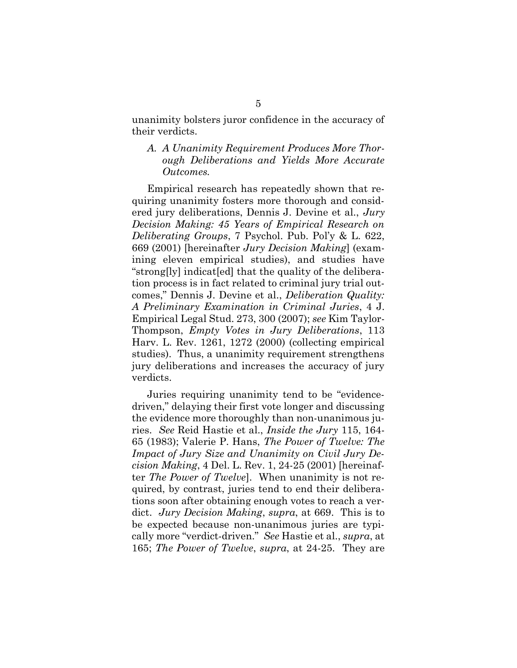unanimity bolsters juror confidence in the accuracy of their verdicts.

A. A Unanimity Requirement Produces More Thorough Deliberations and Yields More Accurate Outcomes.

Empirical research has repeatedly shown that requiring unanimity fosters more thorough and considered jury deliberations, Dennis J. Devine et al., Jury Decision Making: 45 Years of Empirical Research on Deliberating Groups, 7 Psychol. Pub. Pol'y & L. 622, 669 (2001) [hereinafter Jury Decision Making] (examining eleven empirical studies), and studies have "strong[ly] indicat[ed] that the quality of the deliberation process is in fact related to criminal jury trial outcomes," Dennis J. Devine et al., Deliberation Quality: A Preliminary Examination in Criminal Juries, 4 J. Empirical Legal Stud. 273, 300 (2007); see Kim Taylor-Thompson, Empty Votes in Jury Deliberations, 113 Harv. L. Rev. 1261, 1272 (2000) (collecting empirical studies). Thus, a unanimity requirement strengthens jury deliberations and increases the accuracy of jury verdicts.

Juries requiring unanimity tend to be "evidencedriven," delaying their first vote longer and discussing the evidence more thoroughly than non-unanimous juries. See Reid Hastie et al., Inside the Jury 115, 164- 65 (1983); Valerie P. Hans, The Power of Twelve: The Impact of Jury Size and Unanimity on Civil Jury Decision Making, 4 Del. L. Rev. 1, 24-25 (2001) [hereinafter The Power of Twelve]. When unanimity is not required, by contrast, juries tend to end their deliberations soon after obtaining enough votes to reach a verdict. Jury Decision Making, supra, at 669. This is to be expected because non-unanimous juries are typically more "verdict-driven." See Hastie et al., supra, at 165; The Power of Twelve, supra, at 24-25. They are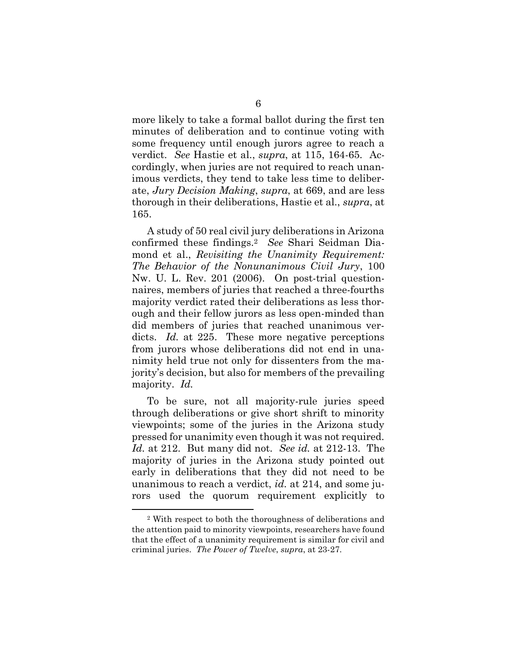more likely to take a formal ballot during the first ten minutes of deliberation and to continue voting with some frequency until enough jurors agree to reach a verdict. See Hastie et al., supra, at 115, 164-65. Accordingly, when juries are not required to reach unanimous verdicts, they tend to take less time to deliberate, Jury Decision Making, supra, at 669, and are less thorough in their deliberations, Hastie et al., supra, at 165.

A study of 50 real civil jury deliberations in Arizona confirmed these findings.2 See Shari Seidman Diamond et al., Revisiting the Unanimity Requirement: The Behavior of the Nonunanimous Civil Jury, 100 Nw. U. L. Rev. 201 (2006). On post-trial questionnaires, members of juries that reached a three-fourths majority verdict rated their deliberations as less thorough and their fellow jurors as less open-minded than did members of juries that reached unanimous verdicts. *Id.* at 225. These more negative perceptions from jurors whose deliberations did not end in unanimity held true not only for dissenters from the majority's decision, but also for members of the prevailing majority. Id.

To be sure, not all majority-rule juries speed through deliberations or give short shrift to minority viewpoints; some of the juries in the Arizona study pressed for unanimity even though it was not required. Id. at 212. But many did not. See id. at 212-13. The majority of juries in the Arizona study pointed out early in deliberations that they did not need to be unanimous to reach a verdict, id. at 214, and some jurors used the quorum requirement explicitly to

<sup>2</sup> With respect to both the thoroughness of deliberations and the attention paid to minority viewpoints, researchers have found that the effect of a unanimity requirement is similar for civil and criminal juries. The Power of Twelve, supra, at 23-27.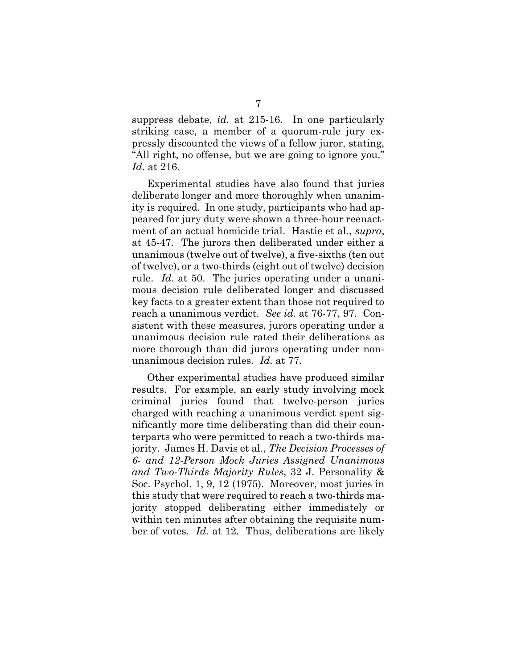suppress debate, *id.* at 215-16. In one particularly striking case, a member of a quorum-rule jury expressly discounted the views of a fellow juror, stating, "All right, no offense, but we are going to ignore you." Id. at 216.

Experimental studies have also found that juries deliberate longer and more thoroughly when unanimity is required. In one study, participants who had appeared for jury duty were shown a three-hour reenactment of an actual homicide trial. Hastie et al., supra, at 45-47. The jurors then deliberated under either a unanimous (twelve out of twelve), a five-sixths (ten out of twelve), or a two-thirds (eight out of twelve) decision rule. Id. at 50. The juries operating under a unanimous decision rule deliberated longer and discussed key facts to a greater extent than those not required to reach a unanimous verdict. See id. at 76-77, 97. Consistent with these measures, jurors operating under a unanimous decision rule rated their deliberations as more thorough than did jurors operating under nonunanimous decision rules. Id. at 77.

Other experimental studies have produced similar results. For example, an early study involving mock criminal juries found that twelve-person juries charged with reaching a unanimous verdict spent significantly more time deliberating than did their counterparts who were permitted to reach a two-thirds majority. James H. Davis et al., The Decision Processes of 6- and 12-Person Mock Juries Assigned Unanimous and Two-Thirds Majority Rules, 32 J. Personality & Soc. Psychol. 1, 9, 12 (1975). Moreover, most juries in this study that were required to reach a two-thirds majority stopped deliberating either immediately or within ten minutes after obtaining the requisite number of votes. Id. at 12. Thus, deliberations are likely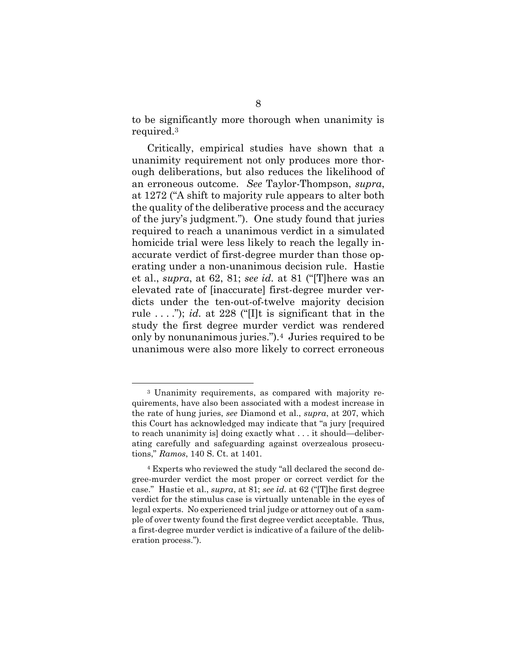to be significantly more thorough when unanimity is required.<sup>3</sup>

Critically, empirical studies have shown that a unanimity requirement not only produces more thorough deliberations, but also reduces the likelihood of an erroneous outcome. See Taylor-Thompson, supra, at 1272 ("A shift to majority rule appears to alter both the quality of the deliberative process and the accuracy of the jury's judgment."). One study found that juries required to reach a unanimous verdict in a simulated homicide trial were less likely to reach the legally inaccurate verdict of first-degree murder than those operating under a non-unanimous decision rule. Hastie et al., supra, at 62, 81; see id. at 81 ("[T]here was an elevated rate of [inaccurate] first-degree murder verdicts under the ten-out-of-twelve majority decision rule  $\dots$ "); id. at 228 ("[I]t is significant that in the study the first degree murder verdict was rendered only by nonunanimous juries.").4 Juries required to be unanimous were also more likely to correct erroneous

<sup>3</sup> Unanimity requirements, as compared with majority requirements, have also been associated with a modest increase in the rate of hung juries, see Diamond et al., supra, at 207, which this Court has acknowledged may indicate that "a jury [required to reach unanimity is] doing exactly what . . . it should—deliberating carefully and safeguarding against overzealous prosecutions," Ramos, 140 S. Ct. at 1401.

<sup>4</sup> Experts who reviewed the study "all declared the second degree-murder verdict the most proper or correct verdict for the case." Hastie et al., supra, at 81; see id. at 62 ("[T]he first degree verdict for the stimulus case is virtually untenable in the eyes of legal experts. No experienced trial judge or attorney out of a sample of over twenty found the first degree verdict acceptable. Thus, a first-degree murder verdict is indicative of a failure of the deliberation process.").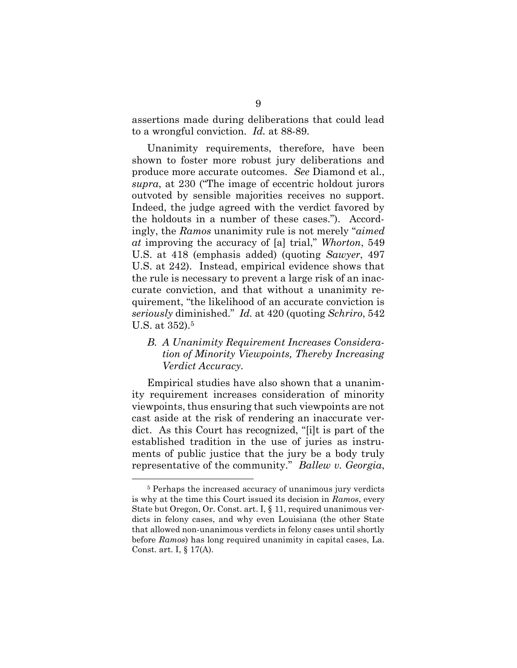assertions made during deliberations that could lead to a wrongful conviction. Id. at 88-89.

Unanimity requirements, therefore, have been shown to foster more robust jury deliberations and produce more accurate outcomes. See Diamond et al., supra, at 230 ("The image of eccentric holdout jurors outvoted by sensible majorities receives no support. Indeed, the judge agreed with the verdict favored by the holdouts in a number of these cases."). Accordingly, the Ramos unanimity rule is not merely "aimed at improving the accuracy of [a] trial," Whorton, 549 U.S. at 418 (emphasis added) (quoting Sawyer, 497 U.S. at 242). Instead, empirical evidence shows that the rule is necessary to prevent a large risk of an inaccurate conviction, and that without a unanimity requirement, "the likelihood of an accurate conviction is seriously diminished." Id. at 420 (quoting Schriro, 542 U.S. at 352).<sup>5</sup>

#### B. A Unanimity Requirement Increases Consideration of Minority Viewpoints, Thereby Increasing Verdict Accuracy.

Empirical studies have also shown that a unanimity requirement increases consideration of minority viewpoints, thus ensuring that such viewpoints are not cast aside at the risk of rendering an inaccurate verdict. As this Court has recognized, "[i]t is part of the established tradition in the use of juries as instruments of public justice that the jury be a body truly representative of the community." Ballew v. Georgia,

<sup>5</sup> Perhaps the increased accuracy of unanimous jury verdicts is why at the time this Court issued its decision in Ramos, every State but Oregon, Or. Const. art. I, § 11, required unanimous verdicts in felony cases, and why even Louisiana (the other State that allowed non-unanimous verdicts in felony cases until shortly before Ramos) has long required unanimity in capital cases, La. Const. art. I, § 17(A).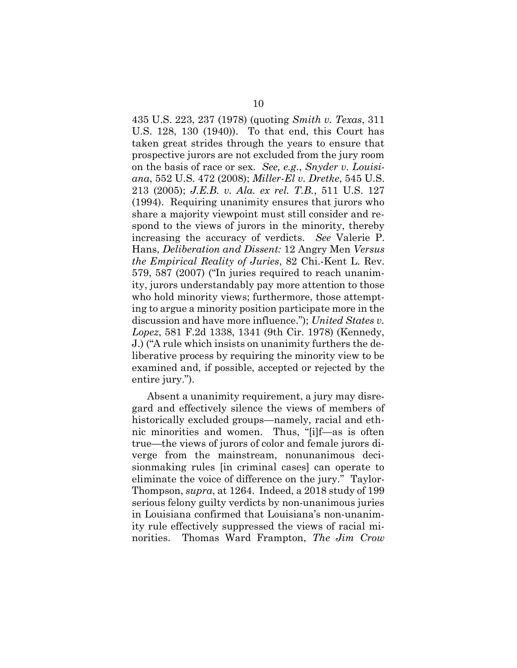435 U.S. 223, 237 (1978) (quoting Smith v. Texas, 311 U.S. 128, 130 (1940)). To that end, this Court has taken great strides through the years to ensure that prospective jurors are not excluded from the jury room on the basis of race or sex. See, e.g., Snyder v. Louisiana, 552 U.S. 472 (2008); Miller-El v. Dretke, 545 U.S. 213 (2005); J.E.B. v. Ala. ex rel. T.B., 511 U.S. 127 (1994). Requiring unanimity ensures that jurors who share a majority viewpoint must still consider and respond to the views of jurors in the minority, thereby increasing the accuracy of verdicts. See Valerie P. Hans, Deliberation and Dissent: 12 Angry Men Versus the Empirical Reality of Juries, 82 Chi.-Kent L. Rev. 579, 587 (2007) ("In juries required to reach unanimity, jurors understandably pay more attention to those who hold minority views; furthermore, those attempting to argue a minority position participate more in the discussion and have more influence."); United States v. Lopez, 581 F.2d 1338, 1341 (9th Cir. 1978) (Kennedy, J.) ("A rule which insists on unanimity furthers the deliberative process by requiring the minority view to be examined and, if possible, accepted or rejected by the entire jury.").

Absent a unanimity requirement, a jury may disregard and effectively silence the views of members of historically excluded groups—namely, racial and ethnic minorities and women. Thus, "[i]f—as is often true—the views of jurors of color and female jurors diverge from the mainstream, nonunanimous decisionmaking rules [in criminal cases] can operate to eliminate the voice of difference on the jury." Taylor-Thompson, supra, at 1264. Indeed, a 2018 study of 199 serious felony guilty verdicts by non-unanimous juries in Louisiana confirmed that Louisiana's non-unanimity rule effectively suppressed the views of racial minorities. Thomas Ward Frampton, The Jim Crow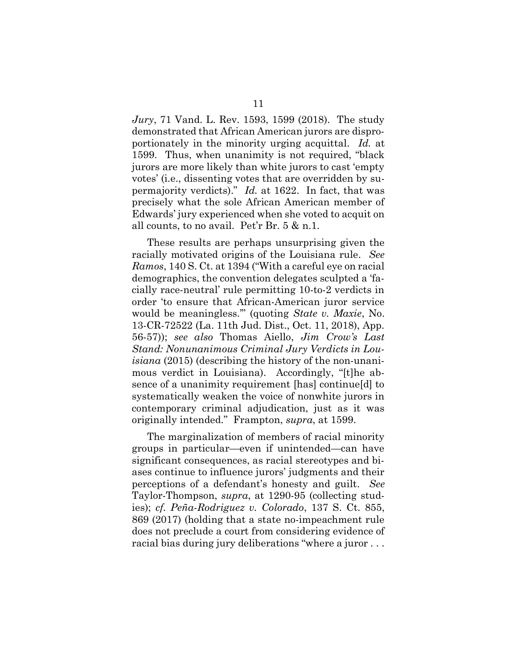Jury, 71 Vand. L. Rev. 1593, 1599 (2018). The study demonstrated that African American jurors are disproportionately in the minority urging acquittal. Id. at 1599. Thus, when unanimity is not required, "black jurors are more likely than white jurors to cast 'empty votes' (i.e., dissenting votes that are overridden by supermajority verdicts)." Id. at 1622. In fact, that was precisely what the sole African American member of Edwards' jury experienced when she voted to acquit on all counts, to no avail. Pet'r Br. 5 & n.1.

These results are perhaps unsurprising given the racially motivated origins of the Louisiana rule. See Ramos, 140 S. Ct. at 1394 ("With a careful eye on racial demographics, the convention delegates sculpted a 'facially race-neutral' rule permitting 10-to-2 verdicts in order 'to ensure that African-American juror service would be meaningless.'" (quoting State v. Maxie, No. 13-CR-72522 (La. 11th Jud. Dist., Oct. 11, 2018), App. 56-57)); see also Thomas Aiello, Jim Crow's Last Stand: Nonunanimous Criminal Jury Verdicts in Louisiana (2015) (describing the history of the non-unanimous verdict in Louisiana). Accordingly, "[t]he absence of a unanimity requirement [has] continue[d] to systematically weaken the voice of nonwhite jurors in contemporary criminal adjudication, just as it was originally intended." Frampton, supra, at 1599.

The marginalization of members of racial minority groups in particular—even if unintended—can have significant consequences, as racial stereotypes and biases continue to influence jurors' judgments and their perceptions of a defendant's honesty and guilt. See Taylor-Thompson, supra, at 1290-95 (collecting studies); cf. Peña-Rodriguez v. Colorado, 137 S. Ct. 855, 869 (2017) (holding that a state no-impeachment rule does not preclude a court from considering evidence of racial bias during jury deliberations "where a juror . . .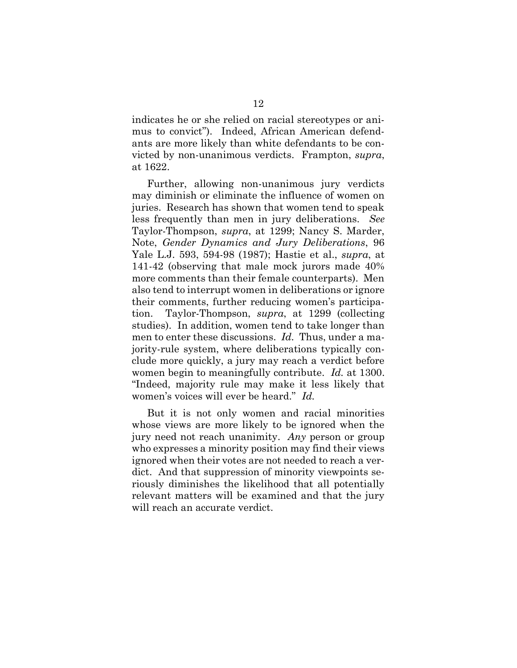indicates he or she relied on racial stereotypes or animus to convict"). Indeed, African American defendants are more likely than white defendants to be convicted by non-unanimous verdicts. Frampton, supra, at 1622.

Further, allowing non-unanimous jury verdicts may diminish or eliminate the influence of women on juries. Research has shown that women tend to speak less frequently than men in jury deliberations. See Taylor-Thompson, supra, at 1299; Nancy S. Marder, Note, Gender Dynamics and Jury Deliberations, 96 Yale L.J. 593, 594-98 (1987); Hastie et al., supra, at 141-42 (observing that male mock jurors made 40% more comments than their female counterparts). Men also tend to interrupt women in deliberations or ignore their comments, further reducing women's participation. Taylor-Thompson, supra, at 1299 (collecting studies). In addition, women tend to take longer than men to enter these discussions. Id. Thus, under a majority-rule system, where deliberations typically conclude more quickly, a jury may reach a verdict before women begin to meaningfully contribute. Id. at 1300. "Indeed, majority rule may make it less likely that women's voices will ever be heard." Id.

But it is not only women and racial minorities whose views are more likely to be ignored when the jury need not reach unanimity. Any person or group who expresses a minority position may find their views ignored when their votes are not needed to reach a verdict. And that suppression of minority viewpoints seriously diminishes the likelihood that all potentially relevant matters will be examined and that the jury will reach an accurate verdict.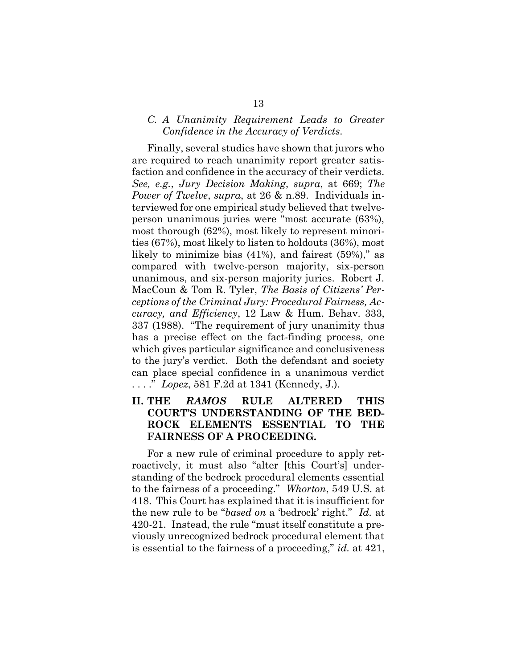#### C. A Unanimity Requirement Leads to Greater Confidence in the Accuracy of Verdicts.

Finally, several studies have shown that jurors who are required to reach unanimity report greater satisfaction and confidence in the accuracy of their verdicts. See, e.g., Jury Decision Making, supra, at 669; The Power of Twelve, supra, at 26 & n.89. Individuals interviewed for one empirical study believed that twelveperson unanimous juries were "most accurate (63%), most thorough (62%), most likely to represent minorities (67%), most likely to listen to holdouts (36%), most likely to minimize bias (41%), and fairest (59%)," as compared with twelve-person majority, six-person unanimous, and six-person majority juries. Robert J. MacCoun & Tom R. Tyler, The Basis of Citizens' Perceptions of the Criminal Jury: Procedural Fairness, Accuracy, and Efficiency, 12 Law & Hum. Behav. 333, 337 (1988). "The requirement of jury unanimity thus has a precise effect on the fact-finding process, one which gives particular significance and conclusiveness to the jury's verdict. Both the defendant and society can place special confidence in a unanimous verdict . . . ." Lopez, 581 F.2d at 1341 (Kennedy, J.).

### II. THE RAMOS RULE ALTERED THIS COURT'S UNDERSTANDING OF THE BED-ROCK ELEMENTS ESSENTIAL TO THE FAIRNESS OF A PROCEEDING.

For a new rule of criminal procedure to apply retroactively, it must also "alter [this Court's] understanding of the bedrock procedural elements essential to the fairness of a proceeding." Whorton, 549 U.S. at 418. This Court has explained that it is insufficient for the new rule to be "based on a 'bedrock' right." Id. at 420-21. Instead, the rule "must itself constitute a previously unrecognized bedrock procedural element that is essential to the fairness of a proceeding," id. at 421,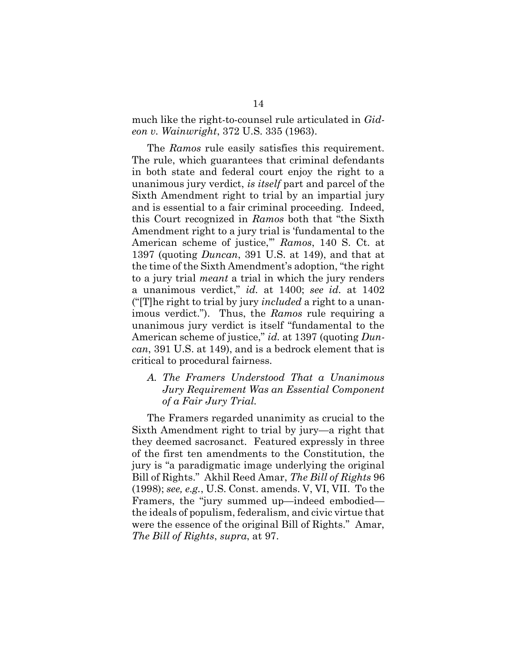much like the right-to-counsel rule articulated in Gideon v. Wainwright, 372 U.S. 335 (1963).

The Ramos rule easily satisfies this requirement. The rule, which guarantees that criminal defendants in both state and federal court enjoy the right to a unanimous jury verdict, is itself part and parcel of the Sixth Amendment right to trial by an impartial jury and is essential to a fair criminal proceeding. Indeed, this Court recognized in Ramos both that "the Sixth Amendment right to a jury trial is 'fundamental to the American scheme of justice," Ramos, 140 S. Ct. at 1397 (quoting  $Duncan$ , 391 U.S. at 149), and that at the time of the Sixth Amendment's adoption, "the right to a jury trial meant a trial in which the jury renders a unanimous verdict," id. at 1400; see id. at 1402 ("The right to trial by jury *included* a right to a unanimous verdict."). Thus, the Ramos rule requiring a unanimous jury verdict is itself "fundamental to the American scheme of justice," id. at 1397 (quoting Duncan, 391 U.S. at 149), and is a bedrock element that is critical to procedural fairness.

#### A. The Framers Understood That a Unanimous Jury Requirement Was an Essential Component of a Fair Jury Trial.

The Framers regarded unanimity as crucial to the Sixth Amendment right to trial by jury—a right that they deemed sacrosanct. Featured expressly in three of the first ten amendments to the Constitution, the jury is "a paradigmatic image underlying the original Bill of Rights." Akhil Reed Amar, The Bill of Rights 96 (1998); see, e.g., U.S. Const. amends. V, VI, VII. To the Framers, the "jury summed up—indeed embodied the ideals of populism, federalism, and civic virtue that were the essence of the original Bill of Rights." Amar, The Bill of Rights, supra, at 97.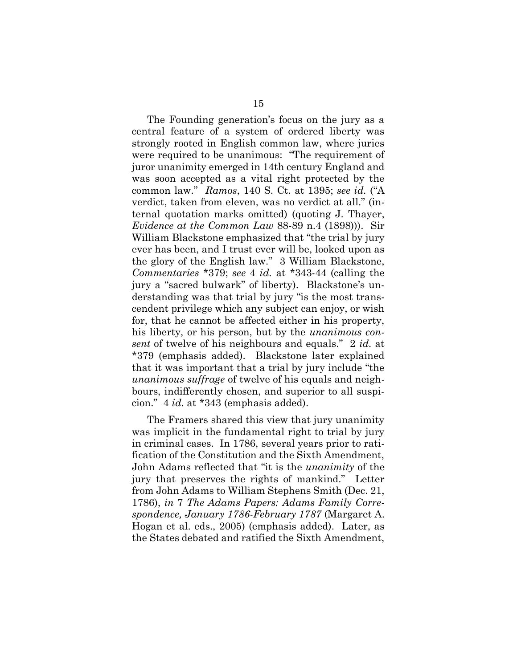The Founding generation's focus on the jury as a central feature of a system of ordered liberty was strongly rooted in English common law, where juries were required to be unanimous: "The requirement of juror unanimity emerged in 14th century England and was soon accepted as a vital right protected by the common law." Ramos, 140 S. Ct. at 1395; see id. ("A verdict, taken from eleven, was no verdict at all." (internal quotation marks omitted) (quoting J. Thayer, Evidence at the Common Law 88-89 n.4 (1898))). Sir William Blackstone emphasized that "the trial by jury ever has been, and I trust ever will be, looked upon as the glory of the English law." 3 William Blackstone, Commentaries \*379; see 4 id. at \*343-44 (calling the jury a "sacred bulwark" of liberty). Blackstone's understanding was that trial by jury "is the most transcendent privilege which any subject can enjoy, or wish for, that he cannot be affected either in his property, his liberty, or his person, but by the *unanimous con*sent of twelve of his neighbours and equals." 2 id. at \*379 (emphasis added). Blackstone later explained that it was important that a trial by jury include "the unanimous suffrage of twelve of his equals and neighbours, indifferently chosen, and superior to all suspicion." 4 id. at \*343 (emphasis added).

The Framers shared this view that jury unanimity was implicit in the fundamental right to trial by jury in criminal cases. In 1786, several years prior to ratification of the Constitution and the Sixth Amendment, John Adams reflected that "it is the unanimity of the jury that preserves the rights of mankind." Letter from John Adams to William Stephens Smith (Dec. 21, 1786), in 7 The Adams Papers: Adams Family Correspondence, January 1786-February 1787 (Margaret A. Hogan et al. eds., 2005) (emphasis added). Later, as the States debated and ratified the Sixth Amendment,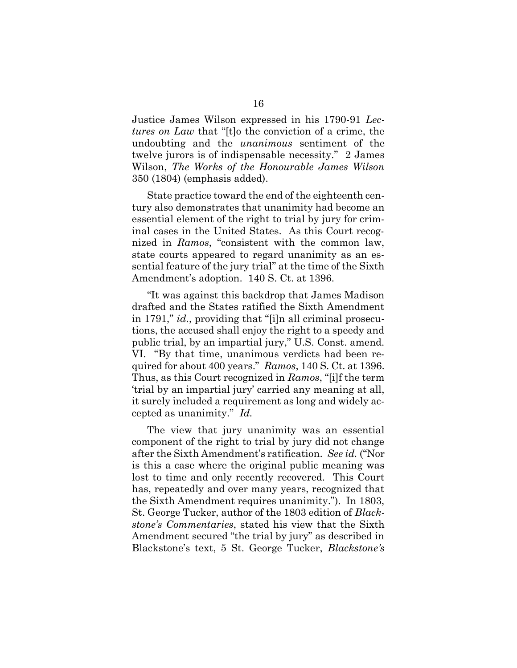Justice James Wilson expressed in his 1790-91 Lectures on Law that "[t]o the conviction of a crime, the undoubting and the unanimous sentiment of the twelve jurors is of indispensable necessity." 2 James Wilson, The Works of the Honourable James Wilson 350 (1804) (emphasis added).

State practice toward the end of the eighteenth century also demonstrates that unanimity had become an essential element of the right to trial by jury for criminal cases in the United States. As this Court recognized in Ramos, "consistent with the common law, state courts appeared to regard unanimity as an essential feature of the jury trial" at the time of the Sixth Amendment's adoption. 140 S. Ct. at 1396.

"It was against this backdrop that James Madison drafted and the States ratified the Sixth Amendment in 1791," id., providing that "[i]n all criminal prosecutions, the accused shall enjoy the right to a speedy and public trial, by an impartial jury," U.S. Const. amend. VI. "By that time, unanimous verdicts had been required for about 400 years." Ramos, 140 S. Ct. at 1396. Thus, as this Court recognized in Ramos, "[i]f the term 'trial by an impartial jury' carried any meaning at all, it surely included a requirement as long and widely accepted as unanimity." Id.

The view that jury unanimity was an essential component of the right to trial by jury did not change after the Sixth Amendment's ratification. See id. ("Nor is this a case where the original public meaning was lost to time and only recently recovered. This Court has, repeatedly and over many years, recognized that the Sixth Amendment requires unanimity."). In 1803, St. George Tucker, author of the 1803 edition of Blackstone's Commentaries, stated his view that the Sixth Amendment secured "the trial by jury" as described in Blackstone's text, 5 St. George Tucker, Blackstone's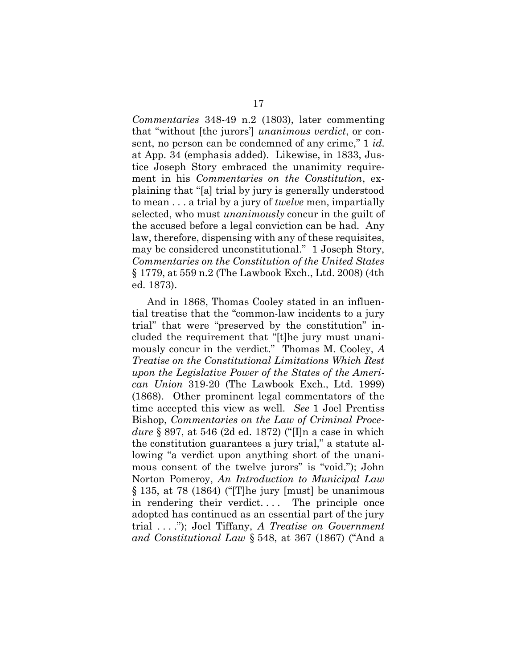Commentaries 348-49 n.2 (1803), later commenting that "without [the jurors'] unanimous verdict, or consent, no person can be condemned of any crime," 1 id. at App. 34 (emphasis added). Likewise, in 1833, Justice Joseph Story embraced the unanimity requirement in his *Commentaries on the Constitution*, explaining that "[a] trial by jury is generally understood to mean  $\dots$  a trial by a jury of *twelve* men, impartially selected, who must unanimously concur in the guilt of the accused before a legal conviction can be had. Any law, therefore, dispensing with any of these requisites, may be considered unconstitutional." 1 Joseph Story, Commentaries on the Constitution of the United States § 1779, at 559 n.2 (The Lawbook Exch., Ltd. 2008) (4th ed. 1873).

And in 1868, Thomas Cooley stated in an influential treatise that the "common-law incidents to a jury trial" that were "preserved by the constitution" included the requirement that "[t]he jury must unanimously concur in the verdict." Thomas M. Cooley, A Treatise on the Constitutional Limitations Which Rest upon the Legislative Power of the States of the American Union 319-20 (The Lawbook Exch., Ltd. 1999) (1868). Other prominent legal commentators of the time accepted this view as well. See 1 Joel Prentiss Bishop, Commentaries on the Law of Criminal Procedure § 897, at 546 (2d ed. 1872) ("I]n a case in which the constitution guarantees a jury trial," a statute allowing "a verdict upon anything short of the unanimous consent of the twelve jurors" is "void."); John Norton Pomeroy, An Introduction to Municipal Law § 135, at 78 (1864) ("[T]he jury [must] be unanimous in rendering their verdict.... The principle once adopted has continued as an essential part of the jury trial . . . ."); Joel Tiffany, A Treatise on Government and Constitutional Law § 548, at 367 (1867) ("And a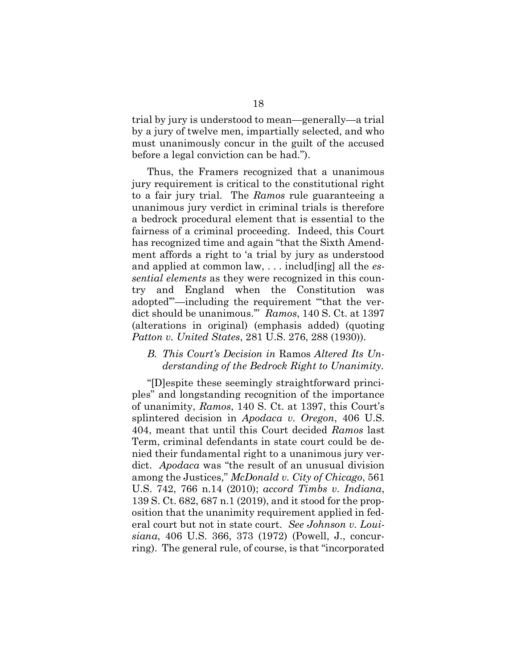trial by jury is understood to mean—generally—a trial by a jury of twelve men, impartially selected, and who must unanimously concur in the guilt of the accused before a legal conviction can be had.").

Thus, the Framers recognized that a unanimous jury requirement is critical to the constitutional right to a fair jury trial. The Ramos rule guaranteeing a unanimous jury verdict in criminal trials is therefore a bedrock procedural element that is essential to the fairness of a criminal proceeding. Indeed, this Court has recognized time and again "that the Sixth Amendment affords a right to 'a trial by jury as understood and applied at common law,  $\dots$  includ [ing] all the *es*sential elements as they were recognized in this country and England when the Constitution was adopted'"—including the requirement "'that the verdict should be unanimous.'" Ramos, 140 S. Ct. at 1397 (alterations in original) (emphasis added) (quoting Patton v. United States, 281 U.S. 276, 288 (1930)).

#### B. This Court's Decision in Ramos Altered Its Understanding of the Bedrock Right to Unanimity.

"[D]espite these seemingly straightforward principles" and longstanding recognition of the importance of unanimity, Ramos, 140 S. Ct. at 1397, this Court's splintered decision in Apodaca v. Oregon, 406 U.S. 404, meant that until this Court decided Ramos last Term, criminal defendants in state court could be denied their fundamental right to a unanimous jury verdict. Apodaca was "the result of an unusual division among the Justices," McDonald v. City of Chicago, 561 U.S. 742, 766 n.14 (2010); accord Timbs v. Indiana, 139 S. Ct. 682, 687 n.1 (2019), and it stood for the proposition that the unanimity requirement applied in federal court but not in state court. See Johnson v. Louisiana, 406 U.S. 366, 373 (1972) (Powell, J., concurring). The general rule, of course, is that "incorporated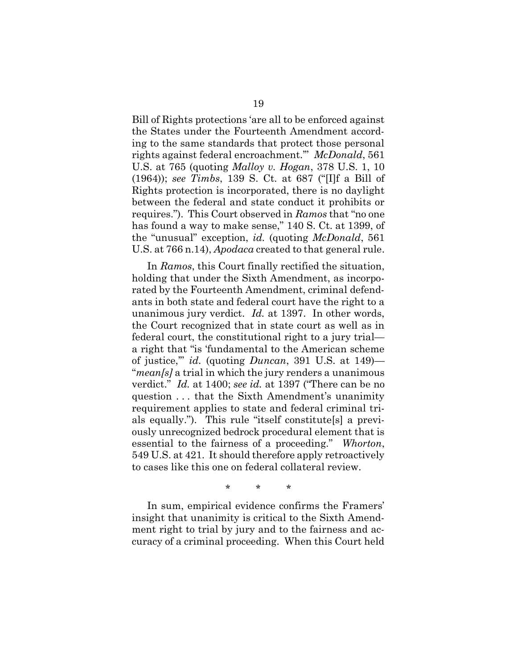Bill of Rights protections 'are all to be enforced against the States under the Fourteenth Amendment according to the same standards that protect those personal rights against federal encroachment." McDonald, 561 U.S. at 765 (quoting Malloy v. Hogan, 378 U.S. 1, 10 (1964)); see Timbs, 139 S. Ct. at 687 ("[I]f a Bill of Rights protection is incorporated, there is no daylight between the federal and state conduct it prohibits or requires."). This Court observed in Ramos that "no one has found a way to make sense," 140 S. Ct. at 1399, of the "unusual" exception, id. (quoting McDonald, 561 U.S. at 766 n.14), Apodaca created to that general rule.

In Ramos, this Court finally rectified the situation, holding that under the Sixth Amendment, as incorporated by the Fourteenth Amendment, criminal defendants in both state and federal court have the right to a unanimous jury verdict. Id. at 1397. In other words, the Court recognized that in state court as well as in federal court, the constitutional right to a jury trial a right that "is 'fundamental to the American scheme of justice," id. (quoting  $Duncan$ , 391 U.S. at 149)— "*mean[s]* a trial in which the jury renders a unanimous verdict." Id. at 1400; see id. at 1397 ("There can be no question . . . that the Sixth Amendment's unanimity requirement applies to state and federal criminal trials equally."). This rule "itself constitute[s] a previously unrecognized bedrock procedural element that is essential to the fairness of a proceeding." Whorton, 549 U.S. at 421. It should therefore apply retroactively to cases like this one on federal collateral review.

\* \* \*

In sum, empirical evidence confirms the Framers' insight that unanimity is critical to the Sixth Amendment right to trial by jury and to the fairness and accuracy of a criminal proceeding. When this Court held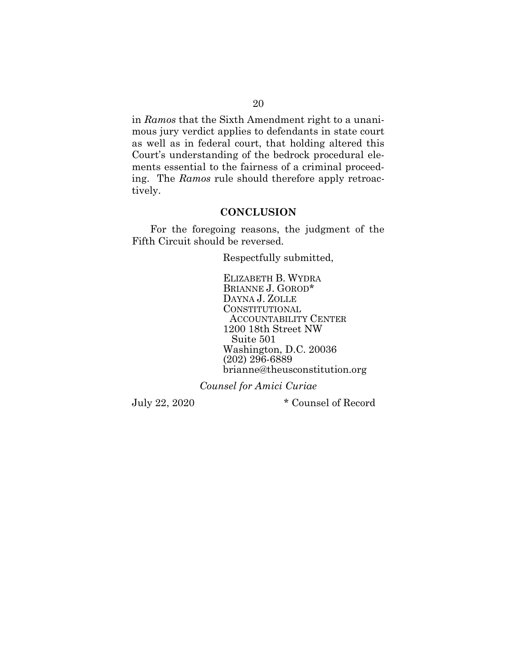in Ramos that the Sixth Amendment right to a unanimous jury verdict applies to defendants in state court as well as in federal court, that holding altered this Court's understanding of the bedrock procedural elements essential to the fairness of a criminal proceeding. The Ramos rule should therefore apply retroactively.

#### **CONCLUSION**

For the foregoing reasons, the judgment of the Fifth Circuit should be reversed.

Respectfully submitted,

 ELIZABETH B. WYDRA BRIANNE J. GOROD\* DAYNA J. ZOLLE CONSTITUTIONAL ACCOUNTABILITY CENTER 1200 18th Street NW Suite 501 Washington, D.C. 20036 (202) 296-6889 brianne@theusconstitution.org

Counsel for Amici Curiae

July 22, 2020 \* Counsel of Record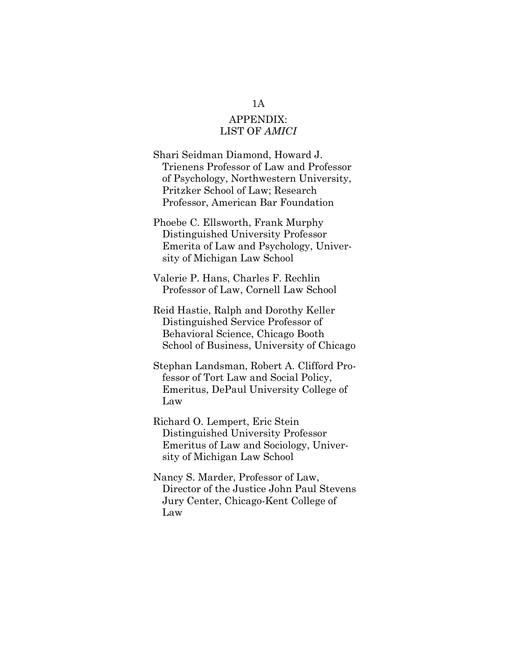## APPENDIX: LIST OF AMICI

Shari Seidman Diamond, Howard J. Trienens Professor of Law and Professor of Psychology, Northwestern University, Pritzker School of Law; Research Professor, American Bar Foundation

Phoebe C. Ellsworth, Frank Murphy Distinguished University Professor Emerita of Law and Psychology, University of Michigan Law School

Valerie P. Hans, Charles F. Rechlin Professor of Law, Cornell Law School

Reid Hastie, Ralph and Dorothy Keller Distinguished Service Professor of Behavioral Science, Chicago Booth School of Business, University of Chicago

Stephan Landsman, Robert A. Clifford Professor of Tort Law and Social Policy, Emeritus, DePaul University College of Law

Richard O. Lempert, Eric Stein Distinguished University Professor Emeritus of Law and Sociology, University of Michigan Law School

Nancy S. Marder, Professor of Law, Director of the Justice John Paul Stevens Jury Center, Chicago-Kent College of Law

#### 1A